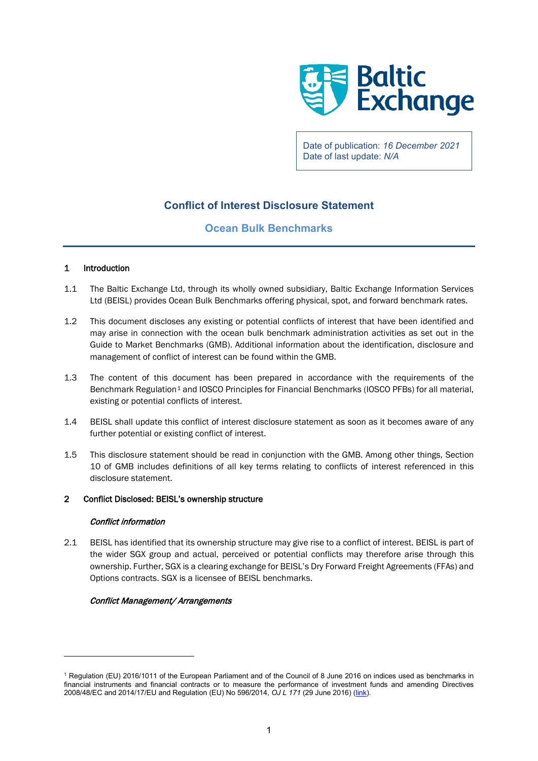

Date of publication: *16 December 2021* Date of last update: *N/A*

# **Conflict of Interest Disclosure Statement**

# **Ocean Bulk Benchmarks**

# 1 Introduction

- 1.1 The Baltic Exchange Ltd, through its wholly owned subsidiary, Baltic Exchange Information Services Ltd (BEISL) provides Ocean Bulk Benchmarks offering physical, spot, and forward benchmark rates.
- 1.2 This document discloses any existing or potential conflicts of interest that have been identified and may arise in connection with the ocean bulk benchmark administration activities as set out in the Guide to Market Benchmarks (GMB). Additional information about the identification, disclosure and management of conflict of interest can be found within the GMB.
- 1.3 The content of this document has been prepared in accordance with the requirements of the Benchmark Regulation<sup>[1](#page-0-0)</sup> and IOSCO Principles for Financial Benchmarks (IOSCO PFBs) for all material, existing or potential conflicts of interest.
- 1.4 BEISL shall update this conflict of interest disclosure statement as soon as it becomes aware of any further potential or existing conflict of interest.
- 1.5 This disclosure statement should be read in conjunction with the GMB. Among other things, Section 10 of GMB includes definitions of all key terms relating to conflicts of interest referenced in this disclosure statement.

# 2 Conflict Disclosed: BEISL's ownership structure

## Conflict information

2.1 BEISL has identified that its ownership structure may give rise to a conflict of interest. BEISL is part of the wider SGX group and actual, perceived or potential conflicts may therefore arise through this ownership. Further, SGX is a clearing exchange for BEISL's Dry Forward Freight Agreements (FFAs) and Options contracts. SGX is a licensee of BEISL benchmarks.

# Conflict Management/ Arrangements

<span id="page-0-0"></span><sup>1</sup> Regulation (EU) 2016/1011 of the European Parliament and of the Council of 8 June 2016 on indices used as benchmarks in financial instruments and financial contracts or to measure the performance of investment funds and amending Directives 2008/48/EC and 2014/17/EU and Regulation (EU) No 596/2014, *OJ L 171* (29 June 2016) [\(link\)](https://eur-lex.europa.eu/legal-content/EN/TXT/?uri=CELEX%3A32016R1011).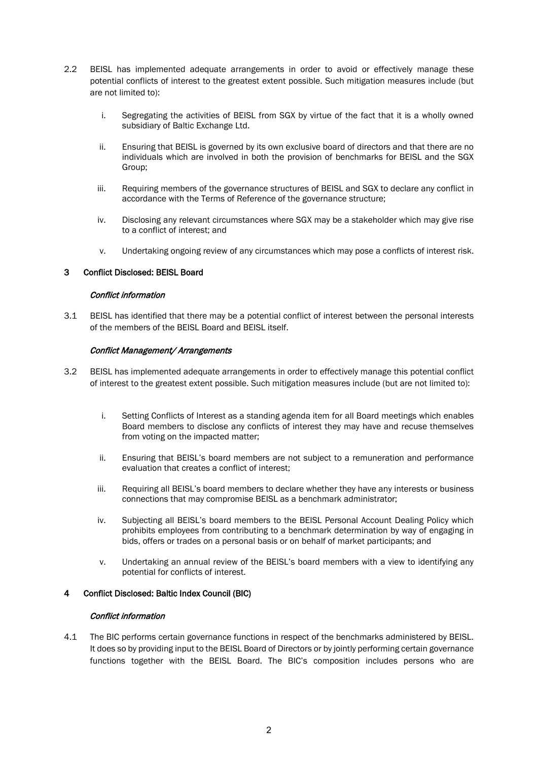- 2.2 BEISL has implemented adequate arrangements in order to avoid or effectively manage these potential conflicts of interest to the greatest extent possible. Such mitigation measures include (but are not limited to):
	- i. Segregating the activities of BEISL from SGX by virtue of the fact that it is a wholly owned subsidiary of Baltic Exchange Ltd.
	- ii. Ensuring that BEISL is governed by its own exclusive board of directors and that there are no individuals which are involved in both the provision of benchmarks for BEISL and the SGX Group;
	- iii. Requiring members of the governance structures of BEISL and SGX to declare any conflict in accordance with the Terms of Reference of the governance structure;
	- iv. Disclosing any relevant circumstances where SGX may be a stakeholder which may give rise to a conflict of interest; and
	- v. Undertaking ongoing review of any circumstances which may pose a conflicts of interest risk.

## 3 Conflict Disclosed: BEISL Board

## Conflict information

3.1 BEISL has identified that there may be a potential conflict of interest between the personal interests of the members of the BEISL Board and BEISL itself.

## Conflict Management/ Arrangements

- 3.2 BEISL has implemented adequate arrangements in order to effectively manage this potential conflict of interest to the greatest extent possible. Such mitigation measures include (but are not limited to):
	- i. Setting Conflicts of Interest as a standing agenda item for all Board meetings which enables Board members to disclose any conflicts of interest they may have and recuse themselves from voting on the impacted matter;
	- ii. Ensuring that BEISL's board members are not subject to a remuneration and performance evaluation that creates a conflict of interest;
	- iii. Requiring all BEISL's board members to declare whether they have any interests or business connections that may compromise BEISL as a benchmark administrator;
	- iv. Subjecting all BEISL's board members to the BEISL Personal Account Dealing Policy which prohibits employees from contributing to a benchmark determination by way of engaging in bids, offers or trades on a personal basis or on behalf of market participants; and
	- v. Undertaking an annual review of the BEISL's board members with a view to identifying any potential for conflicts of interest.

## 4 Conflict Disclosed: Baltic Index Council (BIC)

## Conflict information

4.1 The BIC performs certain governance functions in respect of the benchmarks administered by BEISL. It does so by providing input to the BEISL Board of Directors or by jointly performing certain governance functions together with the BEISL Board. The BIC's composition includes persons who are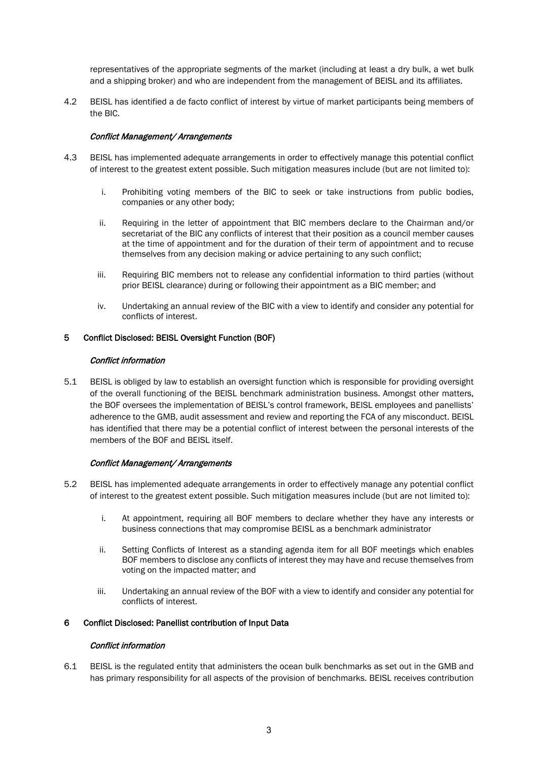representatives of the appropriate segments of the market (including at least a dry bulk, a wet bulk and a shipping broker) and who are independent from the management of BEISL and its affiliates.

4.2 BEISL has identified a de facto conflict of interest by virtue of market participants being members of the BIC.

## Conflict Management/ Arrangements

- 4.3 BEISL has implemented adequate arrangements in order to effectively manage this potential conflict of interest to the greatest extent possible. Such mitigation measures include (but are not limited to):
	- i. Prohibiting voting members of the BIC to seek or take instructions from public bodies, companies or any other body;
	- ii. Requiring in the letter of appointment that BIC members declare to the Chairman and/or secretariat of the BIC any conflicts of interest that their position as a council member causes at the time of appointment and for the duration of their term of appointment and to recuse themselves from any decision making or advice pertaining to any such conflict;
	- iii. Requiring BIC members not to release any confidential information to third parties (without prior BEISL clearance) during or following their appointment as a BIC member; and
	- iv. Undertaking an annual review of the BIC with a view to identify and consider any potential for conflicts of interest.

## 5 Conflict Disclosed: BEISL Oversight Function (BOF)

## Conflict information

5.1 BEISL is obliged by law to establish an oversight function which is responsible for providing oversight of the overall functioning of the BEISL benchmark administration business. Amongst other matters, the BOF oversees the implementation of BEISL's control framework, BEISL employees and panellists' adherence to the GMB, audit assessment and review and reporting the FCA of any misconduct. BEISL has identified that there may be a potential conflict of interest between the personal interests of the members of the BOF and BEISL itself.

## Conflict Management/ Arrangements

- 5.2 BEISL has implemented adequate arrangements in order to effectively manage any potential conflict of interest to the greatest extent possible. Such mitigation measures include (but are not limited to):
	- i. At appointment, requiring all BOF members to declare whether they have any interests or business connections that may compromise BEISL as a benchmark administrator
	- ii. Setting Conflicts of Interest as a standing agenda item for all BOF meetings which enables BOF members to disclose any conflicts of interest they may have and recuse themselves from voting on the impacted matter; and
	- iii. Undertaking an annual review of the BOF with a view to identify and consider any potential for conflicts of interest.

# 6 Conflict Disclosed: Panellist contribution of Input Data

## Conflict information

6.1 BEISL is the regulated entity that administers the ocean bulk benchmarks as set out in the GMB and has primary responsibility for all aspects of the provision of benchmarks. BEISL receives contribution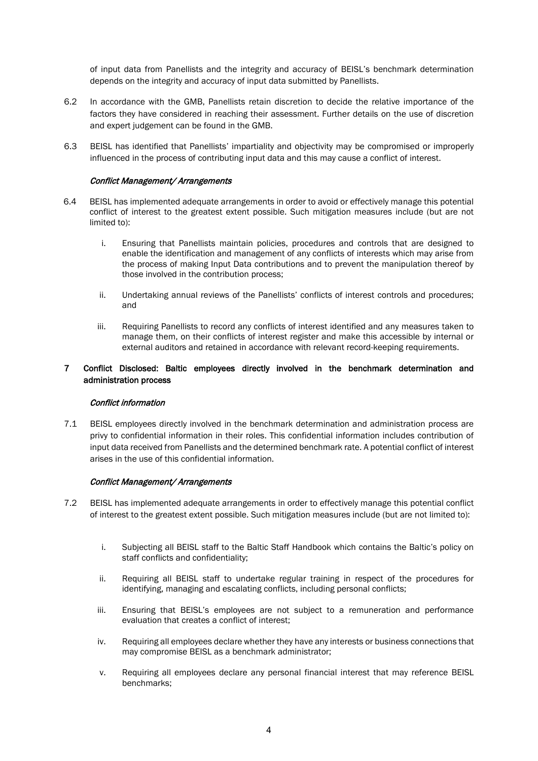of input data from Panellists and the integrity and accuracy of BEISL's benchmark determination depends on the integrity and accuracy of input data submitted by Panellists.

- 6.2 In accordance with the GMB, Panellists retain discretion to decide the relative importance of the factors they have considered in reaching their assessment. Further details on the use of discretion and expert judgement can be found in the GMB.
- 6.3 BEISL has identified that Panellists' impartiality and objectivity may be compromised or improperly influenced in the process of contributing input data and this may cause a conflict of interest.

## Conflict Management/ Arrangements

- 6.4 BEISL has implemented adequate arrangements in order to avoid or effectively manage this potential conflict of interest to the greatest extent possible. Such mitigation measures include (but are not limited to):
	- i. Ensuring that Panellists maintain policies, procedures and controls that are designed to enable the identification and management of any conflicts of interests which may arise from the process of making Input Data contributions and to prevent the manipulation thereof by those involved in the contribution process;
	- ii. Undertaking annual reviews of the Panellists' conflicts of interest controls and procedures; and
	- iii. Requiring Panellists to record any conflicts of interest identified and any measures taken to manage them, on their conflicts of interest register and make this accessible by internal or external auditors and retained in accordance with relevant record-keeping requirements.

## 7 Conflict Disclosed: Baltic employees directly involved in the benchmark determination and administration process

## Conflict information

7.1 BEISL employees directly involved in the benchmark determination and administration process are privy to confidential information in their roles. This confidential information includes contribution of input data received from Panellists and the determined benchmark rate. A potential conflict of interest arises in the use of this confidential information.

## Conflict Management/ Arrangements

- 7.2 BEISL has implemented adequate arrangements in order to effectively manage this potential conflict of interest to the greatest extent possible. Such mitigation measures include (but are not limited to):
	- i. Subjecting all BEISL staff to the Baltic Staff Handbook which contains the Baltic's policy on staff conflicts and confidentiality;
	- ii. Requiring all BEISL staff to undertake regular training in respect of the procedures for identifying, managing and escalating conflicts, including personal conflicts;
	- iii. Ensuring that BEISL's employees are not subject to a remuneration and performance evaluation that creates a conflict of interest;
	- iv. Requiring all employees declare whether they have any interests or business connections that may compromise BEISL as a benchmark administrator;
	- v. Requiring all employees declare any personal financial interest that may reference BEISL benchmarks;